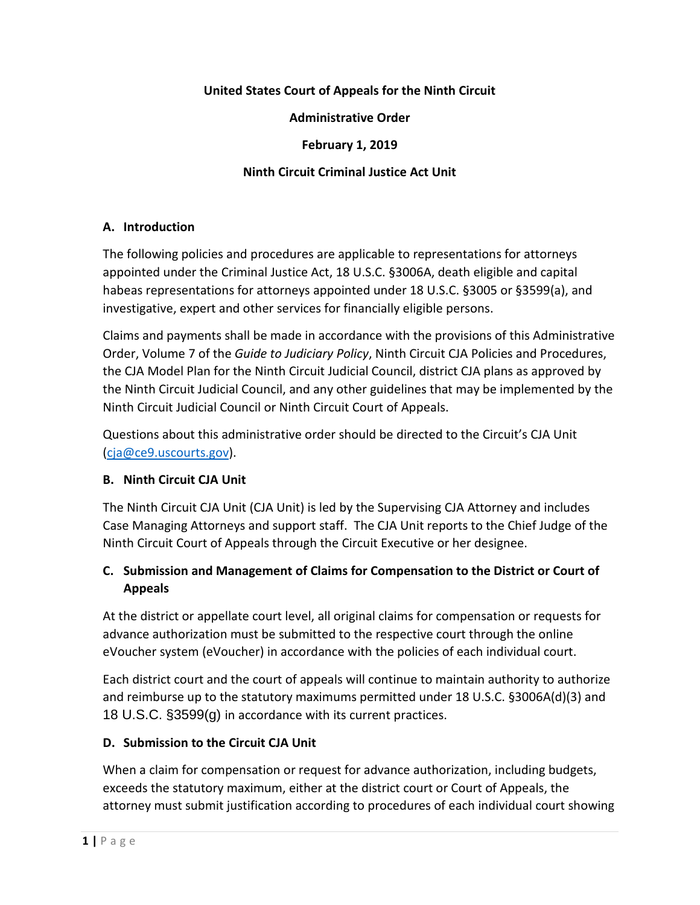### **United States Court of Appeals for the Ninth Circuit**

### **Administrative Order**

#### **February 1, 2019**

### **Ninth Circuit Criminal Justice Act Unit**

#### **A. Introduction**

The following policies and procedures are applicable to representations for attorneys appointed under the Criminal Justice Act, 18 U.S.C. §3006A, death eligible and capital habeas representations for attorneys appointed under 18 U.S.C. §3005 or §3599(a), and investigative, expert and other services for financially eligible persons.

Claims and payments shall be made in accordance with the provisions of this Administrative Order, Volume 7 of the *Guide to Judiciary Policy*, Ninth Circuit CJA Policies and Procedures, the CJA Model Plan for the Ninth Circuit Judicial Council, district CJA plans as approved by the Ninth Circuit Judicial Council, and any other guidelines that may be implemented by the Ninth Circuit Judicial Council or Ninth Circuit Court of Appeals.

Questions about this administrative order should be directed to the Circuit's CJA Unit [\(cja@ce9.uscourts.gov\)](mailto:cja@ce9.uscourts.gov).

### **B. Ninth Circuit CJA Unit**

The Ninth Circuit CJA Unit (CJA Unit) is led by the Supervising CJA Attorney and includes Case Managing Attorneys and support staff. The CJA Unit reports to the Chief Judge of the Ninth Circuit Court of Appeals through the Circuit Executive or her designee.

# **C. Submission and Management of Claims for Compensation to the District or Court of Appeals**

At the district or appellate court level, all original claims for compensation or requests for advance authorization must be submitted to the respective court through the online eVoucher system (eVoucher) in accordance with the policies of each individual court.

Each district court and the court of appeals will continue to maintain authority to authorize and reimburse up to the statutory maximums permitted under 18 U.S.C. §3006A(d)(3) and 18 U.S.C. §3599(g) in accordance with its current practices.

### **D. Submission to the Circuit CJA Unit**

When a claim for compensation or request for advance authorization, including budgets, exceeds the statutory maximum, either at the district court or Court of Appeals, the attorney must submit justification according to procedures of each individual court showing